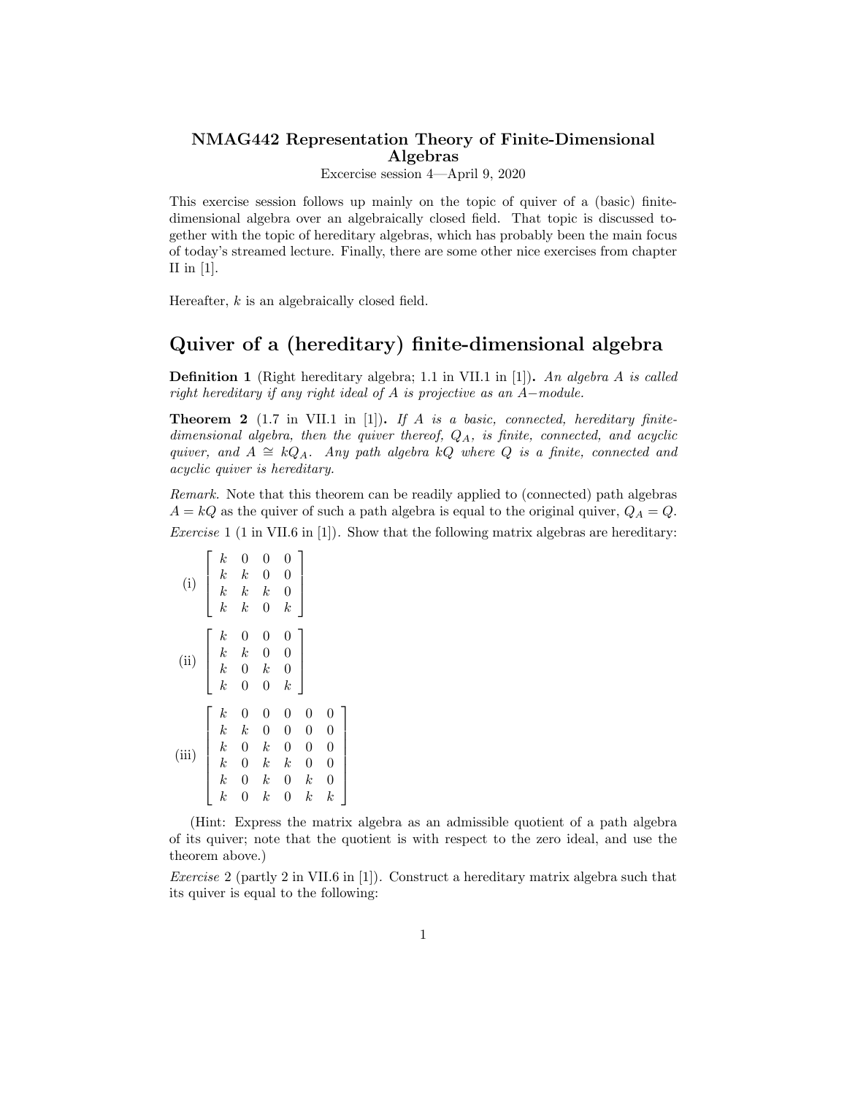## NMAG442 Representation Theory of Finite-Dimensional Algebras

Excercise session 4—April 9, 2020

This exercise session follows up mainly on the topic of quiver of a (basic) finitedimensional algebra over an algebraically closed field. That topic is discussed together with the topic of hereditary algebras, which has probably been the main focus of today's streamed lecture. Finally, there are some other nice exercises from chapter II in  $[1]$ .

Hereafter, *k* is an algebraically closed field.

## Quiver of a (hereditary) finite-dimensional algebra

Definition 1 (Right hereditary algebra; 1.1 in VII.1 in [1]). *An algebra A is called right hereditary if any right ideal of A is projective as an A*−*module.*

Theorem 2 (1.7 in VII.1 in [1]). *If A is a basic, connected, hereditary finitedimensional algebra, then the quiver thereof, QA, is finite, connected, and acyclic quiver,* and  $A \cong kQ_A$ *. Any* path algebra  $kQ$  where  $Q$  is a finite, connected and *acyclic quiver is hereditary.*

*Remark.* Note that this theorem can be readily applied to (connected) path algebras  $A = kQ$  as the quiver of such a path algebra is equal to the original quiver,  $Q_A = Q$ . *Exercise* 1 (1 in VII.6 in [1]). Show that the following matrix algebras are hereditary:

| (i)   | $\boldsymbol{k}$<br>$\boldsymbol{k}$<br>$\boldsymbol{k}$<br>$\boldsymbol{k}$                                       | 0<br>$_{k}$<br>$\boldsymbol{k}$<br>$_{k}$                                | $\overline{0}$<br>0<br>$_{k}$<br>$\overline{0}$                                                     | $\boldsymbol{0}$<br>$\overline{0}$<br>$\overline{0}$<br>$\boldsymbol{k}$                                   |                                                                                                                  |                                                                                               |
|-------|--------------------------------------------------------------------------------------------------------------------|--------------------------------------------------------------------------|-----------------------------------------------------------------------------------------------------|------------------------------------------------------------------------------------------------------------|------------------------------------------------------------------------------------------------------------------|-----------------------------------------------------------------------------------------------|
| (ii)  | $\boldsymbol{k}$<br>$\boldsymbol{k}$<br>$\boldsymbol{k}$<br>$\boldsymbol{k}$                                       | $\overline{0}$<br>$\boldsymbol{k}$<br>$\boldsymbol{0}$<br>$\overline{0}$ | $\overline{0}$<br>$\overline{0}$<br>$\boldsymbol{k}$<br>$\overline{0}$                              | $\boldsymbol{0}$<br>$\overline{0}$<br>$\boldsymbol{0}$<br>$\boldsymbol{k}$                                 |                                                                                                                  |                                                                                               |
| (iii) | $\boldsymbol{k}$<br>$\boldsymbol{k}$<br>$\boldsymbol{k}$<br>$\boldsymbol{k}$<br>$\boldsymbol{k}$<br>$\overline{k}$ | $\overline{0}$<br>$_{k}$<br>$\boldsymbol{0}$<br>0<br>0<br>0              | $\overline{0}$<br>0<br>$\boldsymbol{k}$<br>$\boldsymbol{k}$<br>$\boldsymbol{k}$<br>$\boldsymbol{k}$ | $\overline{0}$<br>$\overline{0}$<br>$\overline{0}$<br>$\boldsymbol{k}$<br>$\overline{0}$<br>$\overline{0}$ | $\overline{0}$<br>$\boldsymbol{0}$<br>$\boldsymbol{0}$<br>$\overline{0}$<br>$\boldsymbol{k}$<br>$\boldsymbol{k}$ | 0<br>$\overline{0}$<br>$\overline{0}$<br>$\overline{0}$<br>$\overline{0}$<br>$\boldsymbol{k}$ |

 $\overline{1}$  $\overline{ }$  $\overline{a}$  $\overline{a}$  $\overline{a}$  $\overline{a}$  $\overline{a}$  $\overline{a}$ 

(Hint: Express the matrix algebra as an admissible quotient of a path algebra of its quiver; note that the quotient is with respect to the zero ideal, and use the theorem above.)

*Exercise* 2 (partly 2 in VII.6 in [1])*.* Construct a hereditary matrix algebra such that its quiver is equal to the following: